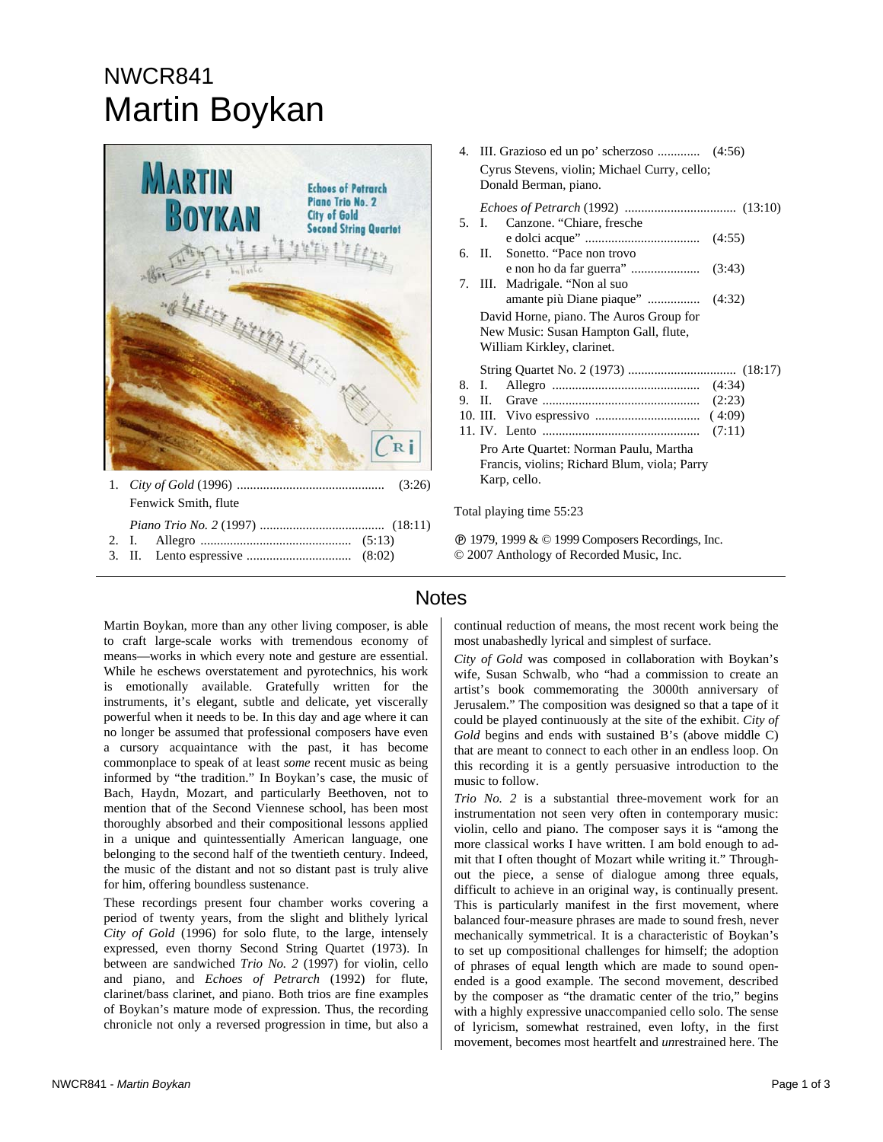## NWCR841 Martin Boykan



3. II. Lento espressive ................................ (8:02)

|                                              | 4. III. Grazioso ed un po' scherzoso  (4:56) |  |
|----------------------------------------------|----------------------------------------------|--|
| Cyrus Stevens, violin; Michael Curry, cello; |                                              |  |
| Donald Berman, piano.                        |                                              |  |
|                                              |                                              |  |
|                                              |                                              |  |
| 5. I.                                        | Canzone. "Chiare, fresche                    |  |
|                                              |                                              |  |
|                                              | 6. II. Sonetto. "Pace non trovo              |  |
|                                              |                                              |  |
|                                              | 7. III. Madrigale. "Non al suo               |  |
|                                              |                                              |  |
| David Horne, piano. The Auros Group for      |                                              |  |
| New Music: Susan Hampton Gall, flute,        |                                              |  |
| William Kirkley, clarinet.                   |                                              |  |
|                                              |                                              |  |
| 8. I.                                        |                                              |  |
|                                              |                                              |  |
|                                              |                                              |  |
|                                              |                                              |  |
| Pro Arte Quartet: Norman Paulu, Martha       |                                              |  |
| Francis, violins; Richard Blum, viola; Parry |                                              |  |
| Karp, cello.                                 |                                              |  |

Total playing time 55:23

Ê 1979, 1999 & © 1999 Composers Recordings, Inc. © 2007 Anthology of Recorded Music, Inc.

Martin Boykan, more than any other living composer, is able to craft large-scale works with tremendous economy of means—works in which every note and gesture are essential. While he eschews overstatement and pyrotechnics, his work is emotionally available. Gratefully written for the instruments, it's elegant, subtle and delicate, yet viscerally powerful when it needs to be. In this day and age where it can no longer be assumed that professional composers have even a cursory acquaintance with the past, it has become commonplace to speak of at least *some* recent music as being informed by "the tradition." In Boykan's case, the music of Bach, Haydn, Mozart, and particularly Beethoven, not to mention that of the Second Viennese school, has been most thoroughly absorbed and their compositional lessons applied in a unique and quintessentially American language, one belonging to the second half of the twentieth century. Indeed, the music of the distant and not so distant past is truly alive for him, offering boundless sustenance.

These recordings present four chamber works covering a period of twenty years, from the slight and blithely lyrical *City of Gold* (1996) for solo flute, to the large, intensely expressed, even thorny Second String Quartet (1973). In between are sandwiched *Trio No. 2* (1997) for violin, cello and piano, and *Echoes of Petrarch* (1992) for flute, clarinet/bass clarinet, and piano. Both trios are fine examples of Boykan's mature mode of expression. Thus, the recording chronicle not only a reversed progression in time, but also a

## **Notes**

continual reduction of means, the most recent work being the most unabashedly lyrical and simplest of surface.

*City of Gold* was composed in collaboration with Boykan's wife, Susan Schwalb, who "had a commission to create an artist's book commemorating the 3000th anniversary of Jerusalem." The composition was designed so that a tape of it could be played continuously at the site of the exhibit. *City of Gold* begins and ends with sustained B's (above middle C) that are meant to connect to each other in an endless loop. On this recording it is a gently persuasive introduction to the music to follow.

*Trio No. 2* is a substantial three-movement work for an instrumentation not seen very often in contemporary music: violin, cello and piano. The composer says it is "among the more classical works I have written. I am bold enough to admit that I often thought of Mozart while writing it." Throughout the piece, a sense of dialogue among three equals, difficult to achieve in an original way, is continually present. This is particularly manifest in the first movement, where balanced four-measure phrases are made to sound fresh, never mechanically symmetrical. It is a characteristic of Boykan's to set up compositional challenges for himself; the adoption of phrases of equal length which are made to sound openended is a good example. The second movement, described by the composer as "the dramatic center of the trio," begins with a highly expressive unaccompanied cello solo. The sense of lyricism, somewhat restrained, even lofty, in the first movement, becomes most heartfelt and *un*restrained here. The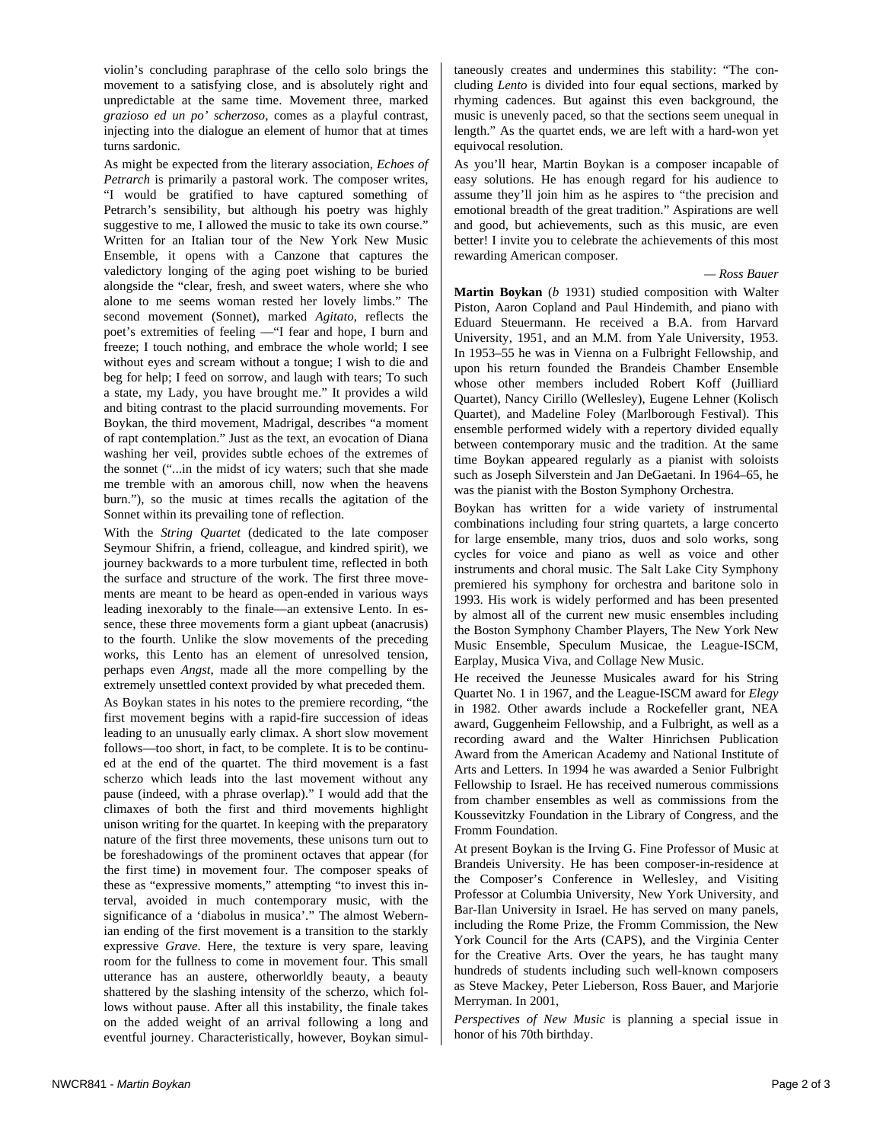violin's concluding paraphrase of the cello solo brings the movement to a satisfying close, and is absolutely right and unpredictable at the same time. Movement three, marked *grazioso ed un po' scherzoso*, comes as a playful contrast, injecting into the dialogue an element of humor that at times turns sardonic.

As might be expected from the literary association, *Echoes of Petrarch* is primarily a pastoral work. The composer writes, "I would be gratified to have captured something of Petrarch's sensibility, but although his poetry was highly suggestive to me, I allowed the music to take its own course." Written for an Italian tour of the New York New Music Ensemble, it opens with a Canzone that captures the valedictory longing of the aging poet wishing to be buried alongside the "clear, fresh, and sweet waters, where she who alone to me seems woman rested her lovely limbs." The second movement (Sonnet), marked *Agitato*, reflects the poet's extremities of feeling —"I fear and hope, I burn and freeze; I touch nothing, and embrace the whole world; I see without eyes and scream without a tongue; I wish to die and beg for help; I feed on sorrow, and laugh with tears; To such a state, my Lady, you have brought me." It provides a wild and biting contrast to the placid surrounding movements. For Boykan, the third movement, Madrigal, describes "a moment of rapt contemplation." Just as the text, an evocation of Diana washing her veil, provides subtle echoes of the extremes of the sonnet ("...in the midst of icy waters; such that she made me tremble with an amorous chill, now when the heavens burn."), so the music at times recalls the agitation of the Sonnet within its prevailing tone of reflection.

With the *String Quartet* (dedicated to the late composer Seymour Shifrin, a friend, colleague, and kindred spirit), we journey backwards to a more turbulent time, reflected in both the surface and structure of the work. The first three movements are meant to be heard as open-ended in various ways leading inexorably to the finale—an extensive Lento. In essence, these three movements form a giant upbeat (anacrusis) to the fourth. Unlike the slow movements of the preceding works, this Lento has an element of unresolved tension, perhaps even *Angst*, made all the more compelling by the extremely unsettled context provided by what preceded them.

As Boykan states in his notes to the premiere recording, "the first movement begins with a rapid-fire succession of ideas leading to an unusually early climax. A short slow movement follows—too short, in fact, to be complete. It is to be continued at the end of the quartet. The third movement is a fast scherzo which leads into the last movement without any pause (indeed, with a phrase overlap)." I would add that the climaxes of both the first and third movements highlight unison writing for the quartet. In keeping with the preparatory nature of the first three movements, these unisons turn out to be foreshadowings of the prominent octaves that appear (for the first time) in movement four. The composer speaks of these as "expressive moments," attempting "to invest this interval, avoided in much contemporary music, with the significance of a 'diabolus in musica'." The almost Webernian ending of the first movement is a transition to the starkly expressive *Grave*. Here, the texture is very spare, leaving room for the fullness to come in movement four. This small utterance has an austere, otherworldly beauty, a beauty shattered by the slashing intensity of the scherzo, which follows without pause. After all this instability, the finale takes on the added weight of an arrival following a long and eventful journey. Characteristically, however, Boykan simultaneously creates and undermines this stability: "The concluding *Lento* is divided into four equal sections, marked by rhyming cadences. But against this even background, the music is unevenly paced, so that the sections seem unequal in length." As the quartet ends, we are left with a hard-won yet equivocal resolution.

As you'll hear, Martin Boykan is a composer incapable of easy solutions. He has enough regard for his audience to assume they'll join him as he aspires to "the precision and emotional breadth of the great tradition." Aspirations are well and good, but achievements, such as this music, are even better! I invite you to celebrate the achievements of this most rewarding American composer.

## *— Ross Bauer*

**Martin Boykan** (*b* 1931) studied composition with Walter Piston, Aaron Copland and Paul Hindemith, and piano with Eduard Steuermann. He received a B.A. from Harvard University, 1951, and an M.M. from Yale University, 1953. In 1953–55 he was in Vienna on a Fulbright Fellowship, and upon his return founded the Brandeis Chamber Ensemble whose other members included Robert Koff (Juilliard Quartet), Nancy Cirillo (Wellesley), Eugene Lehner (Kolisch Quartet), and Madeline Foley (Marlborough Festival). This ensemble performed widely with a repertory divided equally between contemporary music and the tradition. At the same time Boykan appeared regularly as a pianist with soloists such as Joseph Silverstein and Jan DeGaetani. In 1964–65, he was the pianist with the Boston Symphony Orchestra.

Boykan has written for a wide variety of instrumental combinations including four string quartets, a large concerto for large ensemble, many trios, duos and solo works, song cycles for voice and piano as well as voice and other instruments and choral music. The Salt Lake City Symphony premiered his symphony for orchestra and baritone solo in 1993. His work is widely performed and has been presented by almost all of the current new music ensembles including the Boston Symphony Chamber Players, The New York New Music Ensemble, Speculum Musicae, the League-ISCM, Earplay, Musica Viva, and Collage New Music.

He received the Jeunesse Musicales award for his String Quartet No. 1 in 1967, and the League-ISCM award for *Elegy* in 1982. Other awards include a Rockefeller grant, NEA award, Guggenheim Fellowship, and a Fulbright, as well as a recording award and the Walter Hinrichsen Publication Award from the American Academy and National Institute of Arts and Letters. In 1994 he was awarded a Senior Fulbright Fellowship to Israel. He has received numerous commissions from chamber ensembles as well as commissions from the Koussevitzky Foundation in the Library of Congress, and the Fromm Foundation.

At present Boykan is the Irving G. Fine Professor of Music at Brandeis University. He has been composer-in-residence at the Composer's Conference in Wellesley, and Visiting Professor at Columbia University, New York University, and Bar-Ilan University in Israel. He has served on many panels, including the Rome Prize, the Fromm Commission, the New York Council for the Arts (CAPS), and the Virginia Center for the Creative Arts. Over the years, he has taught many hundreds of students including such well-known composers as Steve Mackey, Peter Lieberson, Ross Bauer, and Marjorie Merryman. In 2001,

*Perspectives of New Music* is planning a special issue in honor of his 70th birthday.